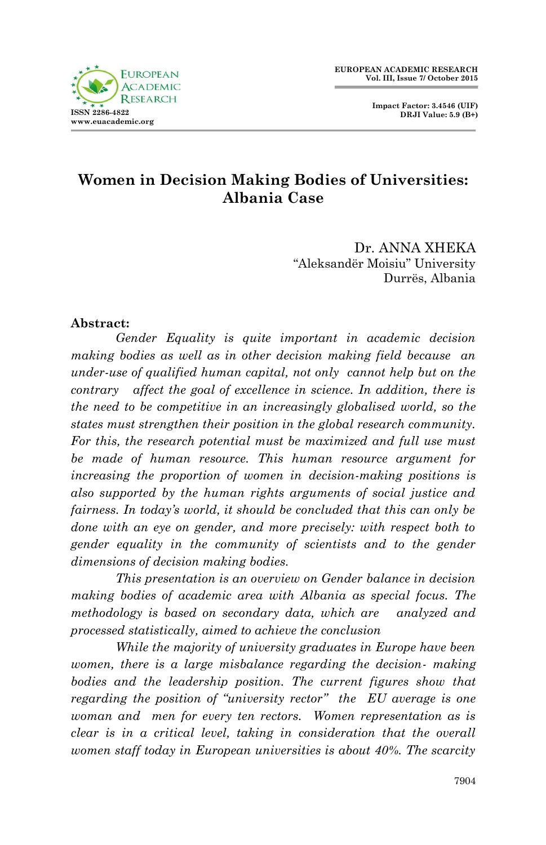

# **Women in Decision Making Bodies of Universities: Albania Case**

Dr. ANNA XHEKA "Aleksandër Moisiu" University Durrës, Albania

#### **Abstract:**

*Gender Equality is quite important in academic decision making bodies as well as in other decision making field because an under-use of qualified human capital, not only cannot help but on the contrary affect the goal of excellence in science. In addition, there is the need to be competitive in an increasingly globalised world, so the states must strengthen their position in the global research community. For this, the research potential must be maximized and full use must be made of human resource. This human resource argument for increasing the proportion of women in decision-making positions is also supported by the human rights arguments of social justice and fairness. In today's world, it should be concluded that this can only be done with an eye on gender, and more precisely: with respect both to gender equality in the community of scientists and to the gender dimensions of decision making bodies.*

*This presentation is an overview on Gender balance in decision making bodies of academic area with Albania as special focus. The methodology is based on secondary data, which are analyzed and processed statistically, aimed to achieve the conclusion*

*While the majority of university graduates in Europe have been women, there is a large misbalance regarding the decision- making bodies and the leadership position. The current figures show that regarding the position of "university rector" the EU average is one woman and men for every ten rectors. Women representation as is clear is in a critical level, taking in consideration that the overall women staff today in European universities is about 40%. The scarcity*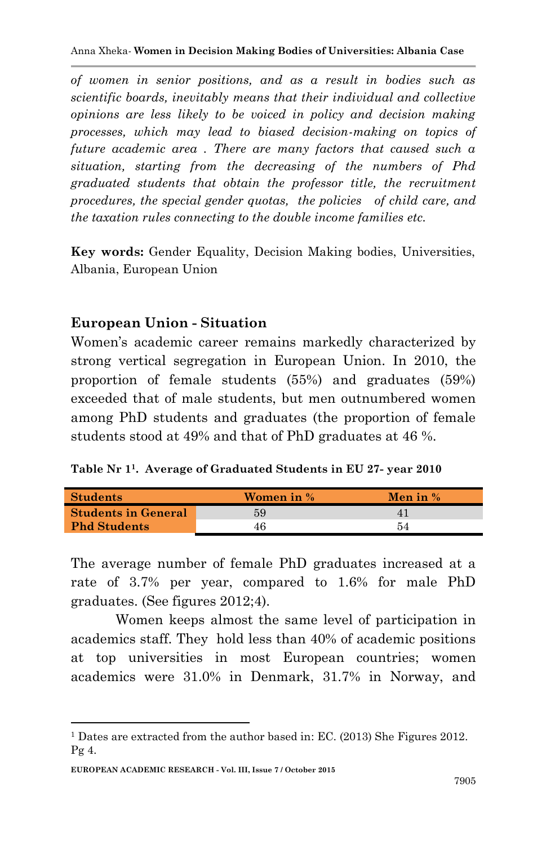*of women in senior positions, and as a result in bodies such as scientific boards, inevitably means that their individual and collective opinions are less likely to be voiced in policy and decision making processes, which may lead to biased decision-making on topics of future academic area . There are many factors that caused such a situation, starting from the decreasing of the numbers of Phd graduated students that obtain the professor title, the recruitment procedures, the special gender quotas, the policies of child care, and the taxation rules connecting to the double income families etc.*

**Key words:** Gender Equality, Decision Making bodies, Universities, Albania, European Union

#### **European Union - Situation**

Women's academic career remains markedly characterized by strong vertical segregation in European Union. In 2010, the proportion of female students (55%) and graduates (59%) exceeded that of male students, but men outnumbered women among PhD students and graduates (the proportion of female students stood at 49% and that of PhD graduates at 46 %.

**Table Nr 1<sup>1</sup>. Average of Graduated Students in EU 27- year 2010**

| <b>Students</b>            | Women in % | Men in % |
|----------------------------|------------|----------|
| <b>Students in General</b> | 59         |          |
| <b>Phd Students</b>        |            | 54       |

The average number of female PhD graduates increased at a rate of 3.7% per year, compared to 1.6% for male PhD graduates. (See figures 2012;4).

Women keeps almost the same level of participation in academics staff. They hold less than 40% of academic positions at top universities in most European countries; women academics were 31.0% in Denmark, 31.7% in Norway, and

1

<sup>1</sup> Dates are extracted from the author based in: EC. (2013) She Figures 2012. Pg 4.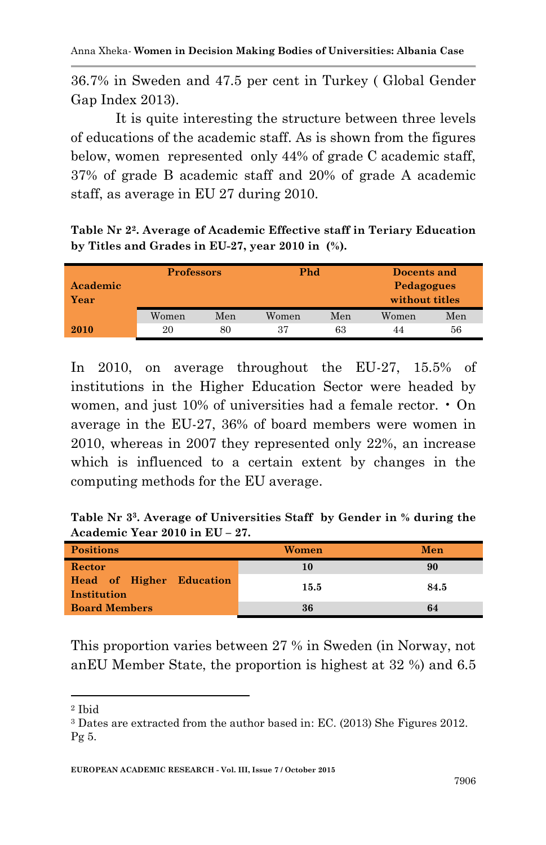36.7% in Sweden and 47.5 per cent in Turkey ( Global Gender Gap Index 2013).

It is quite interesting the structure between three levels of educations of the academic staff. As is shown from the figures below, women represented only 44% of grade C academic staff, 37% of grade B academic staff and 20% of grade A academic staff, as average in EU 27 during 2010.

**Table Nr 2<sup>2</sup>. Average of Academic Effective staff in Teriary Education by Titles and Grades in EU-27, year 2010 in (%).**

| Academic<br>Year | <b>Professors</b> |     | Phd   |     | Docents and<br><b>Pedagogues</b><br>without titles |     |
|------------------|-------------------|-----|-------|-----|----------------------------------------------------|-----|
|                  | Women             | Men | Women | Men | Women                                              | Men |
| 2010             | 20                | 80  | 37    | 63  | 44                                                 | 56  |

In 2010, on average throughout the EU-27, 15.5% of institutions in the Higher Education Sector were headed by women, and just  $10\%$  of universities had a female rector.  $\cdot$  On average in the EU-27, 36% of board members were women in 2010, whereas in 2007 they represented only 22%, an increase which is influenced to a certain extent by changes in the computing methods for the EU average.

**Table Nr 3<sup>3</sup>. Average of Universities Staff by Gender in % during the Academic Year 2010 in EU – 27.**

| <b>Positions</b>                        | Women | Men  |
|-----------------------------------------|-------|------|
| Rector                                  | 10    | 90   |
| Head of Higher Education<br>Institution | 15.5  | 84.5 |
| <b>Board Members</b>                    | 36    | 64   |

This proportion varies between 27 % in Sweden (in Norway, not anEU Member State, the proportion is highest at 32 %) and 6.5

**.** 

<sup>2</sup> Ibid

<sup>3</sup> Dates are extracted from the author based in: EC. (2013) She Figures 2012. Pg 5.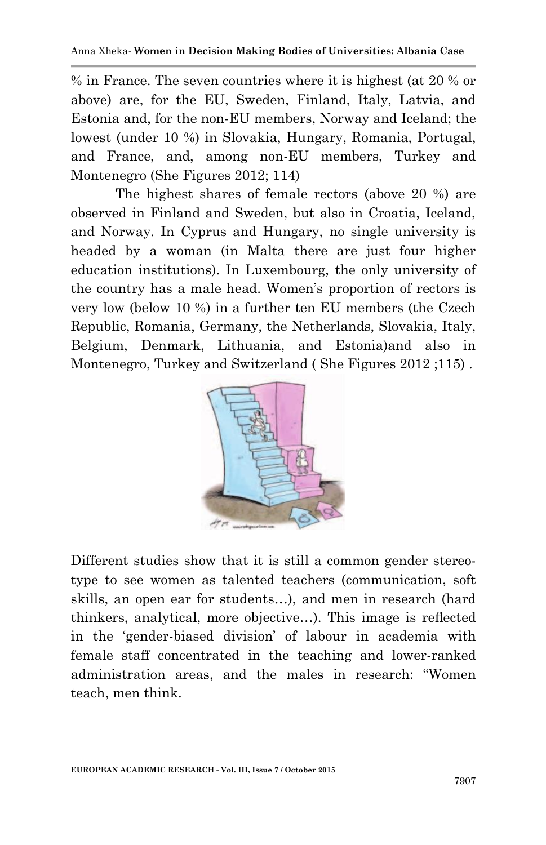% in France. The seven countries where it is highest (at 20 % or above) are, for the EU, Sweden, Finland, Italy, Latvia, and Estonia and, for the non-EU members, Norway and Iceland; the lowest (under 10 %) in Slovakia, Hungary, Romania, Portugal, and France, and, among non-EU members, Turkey and Montenegro (She Figures 2012; 114)

The highest shares of female rectors (above 20 %) are observed in Finland and Sweden, but also in Croatia, Iceland, and Norway. In Cyprus and Hungary, no single university is headed by a woman (in Malta there are just four higher education institutions). In Luxembourg, the only university of the country has a male head. Women"s proportion of rectors is very low (below 10 %) in a further ten EU members (the Czech Republic, Romania, Germany, the Netherlands, Slovakia, Italy, Belgium, Denmark, Lithuania, and Estonia)and also in Montenegro, Turkey and Switzerland ( She Figures 2012 ;115) .



Different studies show that it is still a common gender stereotype to see women as talented teachers (communication, soft skills, an open ear for students…), and men in research (hard thinkers, analytical, more objective…). This image is reflected in the "gender-biased division" of labour in academia with female staff concentrated in the teaching and lower-ranked administration areas, and the males in research: "Women teach, men think.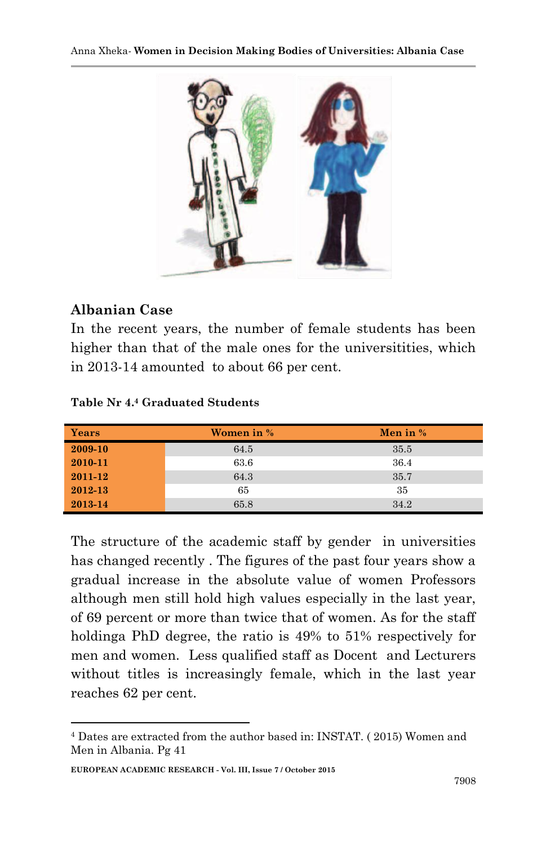

### **Albanian Case**

1

In the recent years, the number of female students has been higher than that of the male ones for the universitities, which in 2013-14 amounted to about 66 per cent.

| Years   | Women in % | Men in $%$ |
|---------|------------|------------|
| 2009-10 | 64.5       | 35.5       |
| 2010-11 | 63.6       | 36.4       |
| 2011-12 | 64.3       | 35.7       |
| 2012-13 | 65         | 35         |
| 2013-14 | 65.8       | 34.2       |

The structure of the academic staff by gender in universities has changed recently . The figures of the past four years show a gradual increase in the absolute value of women Professors although men still hold high values especially in the last year, of 69 percent or more than twice that of women. As for the staff holdinga PhD degree, the ratio is 49% to 51% respectively for men and women. Less qualified staff as Docent and Lecturers without titles is increasingly female, which in the last year reaches 62 per cent.

<sup>4</sup> Dates are extracted from the author based in: INSTAT. ( 2015) Women and Men in Albania. Pg 41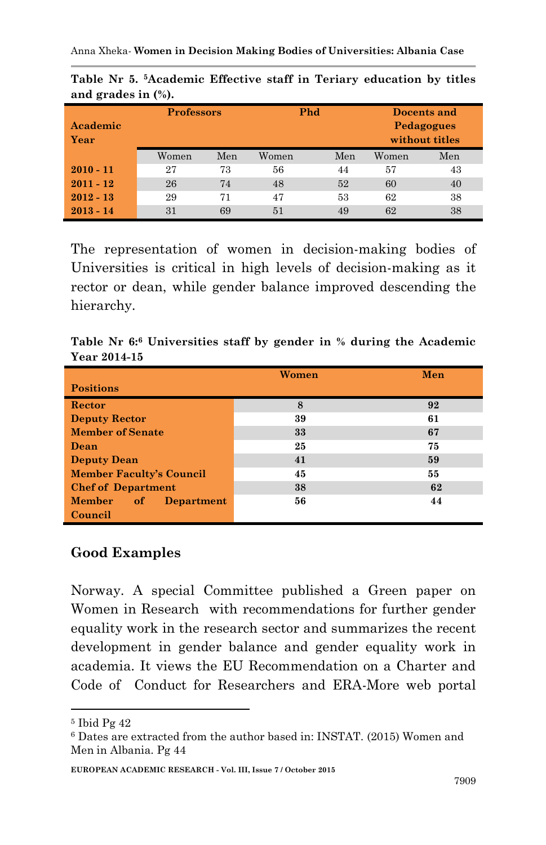| ີ           |                   |     |       |     |             |                |
|-------------|-------------------|-----|-------|-----|-------------|----------------|
|             | <b>Professors</b> |     | Phd   |     | Docents and |                |
| Academic    |                   |     |       |     |             | Pedagogues     |
| Year        |                   |     |       |     |             | without titles |
|             | Women             | Men | Women | Men | Women       | Men            |
| $2010 - 11$ | 27                | 73  | 56    | 44  | 57          | 43             |
| $2011 - 12$ | 26                | 74  | 48    | 52  | 60          | 40             |
| $2012 - 13$ | 29                | 71  | 47    | 53  | 62          | 38             |
| $2013 - 14$ | 31                | 69  | 51    | 49  | 62          | 38             |

**Table Nr 5. <sup>5</sup>Academic Effective staff in Teriary education by titles and grades in (%).**

The representation of women in decision-making bodies of Universities is critical in high levels of decision-making as it rector or dean, while gender balance improved descending the hierarchy.

**Table Nr 6: <sup>6</sup> Universities staff by gender in % during the Academic Year 2014-15**

|                                          | Women | Men |
|------------------------------------------|-------|-----|
| <b>Positions</b>                         |       |     |
| Rector                                   | 8     | 92  |
| <b>Deputy Rector</b>                     | 39    | 61  |
| <b>Member of Senate</b>                  | 33    | 67  |
| Dean                                     | 25    | 75  |
| <b>Deputy Dean</b>                       | 41    | 59  |
| <b>Member Faculty's Council</b>          | 45    | 55  |
| <b>Chef of Department</b>                | 38    | 62  |
| <b>Member</b><br>of<br><b>Department</b> | 56    | 44  |
| Council                                  |       |     |

# **Good Examples**

Norway. A special Committee published a Green paper on Women in Research with recommendations for further gender equality work in the research sector and summarizes the recent development in gender balance and gender equality work in academia. It views the EU Recommendation on a Charter and Code of Conduct for Researchers and ERA-More web portal

1

<sup>5</sup> Ibid Pg 42

<sup>6</sup> Dates are extracted from the author based in: INSTAT. (2015) Women and Men in Albania. Pg 44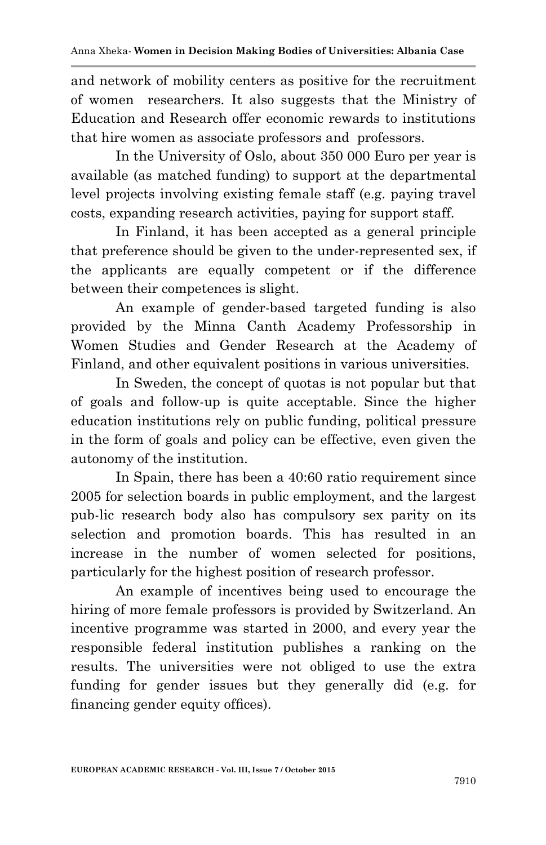and network of mobility centers as positive for the recruitment of women researchers. It also suggests that the Ministry of Education and Research offer economic rewards to institutions that hire women as associate professors and professors.

In the University of Oslo, about 350 000 Euro per year is available (as matched funding) to support at the departmental level projects involving existing female staff (e.g. paying travel costs, expanding research activities, paying for support staff.

In Finland, it has been accepted as a general principle that preference should be given to the under-represented sex, if the applicants are equally competent or if the difference between their competences is slight.

An example of gender-based targeted funding is also provided by the Minna Canth Academy Professorship in Women Studies and Gender Research at the Academy of Finland, and other equivalent positions in various universities.

In Sweden, the concept of quotas is not popular but that of goals and follow-up is quite acceptable. Since the higher education institutions rely on public funding, political pressure in the form of goals and policy can be effective, even given the autonomy of the institution.

In Spain, there has been a 40:60 ratio requirement since 2005 for selection boards in public employment, and the largest pub-lic research body also has compulsory sex parity on its selection and promotion boards. This has resulted in an increase in the number of women selected for positions, particularly for the highest position of research professor.

An example of incentives being used to encourage the hiring of more female professors is provided by Switzerland. An incentive programme was started in 2000, and every year the responsible federal institution publishes a ranking on the results. The universities were not obliged to use the extra funding for gender issues but they generally did (e.g. for financing gender equity offices).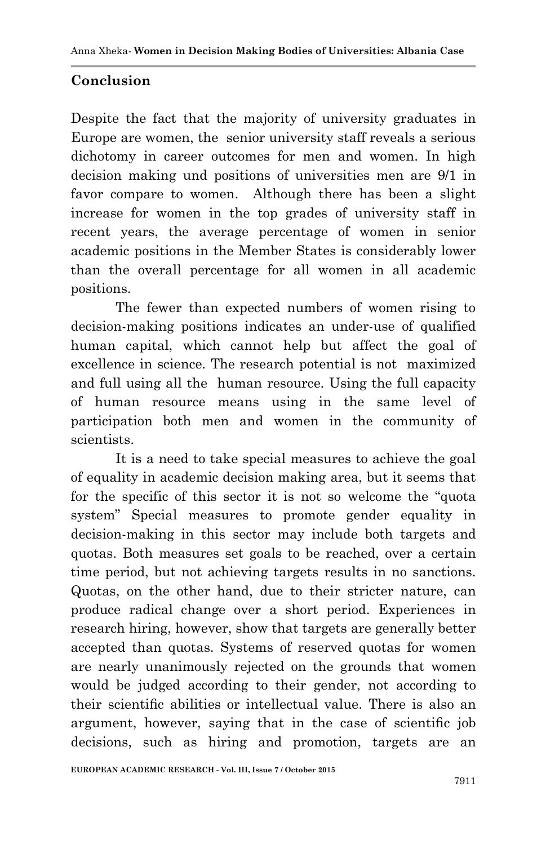# **Conclusion**

Despite the fact that the majority of university graduates in Europe are women, the senior university staff reveals a serious dichotomy in career outcomes for men and women. In high decision making und positions of universities men are 9/1 in favor compare to women. Although there has been a slight increase for women in the top grades of university staff in recent years, the average percentage of women in senior academic positions in the Member States is considerably lower than the overall percentage for all women in all academic positions.

The fewer than expected numbers of women rising to decision-making positions indicates an under-use of qualified human capital, which cannot help but affect the goal of excellence in science. The research potential is not maximized and full using all the human resource. Using the full capacity of human resource means using in the same level of participation both men and women in the community of scientists.

It is a need to take special measures to achieve the goal of equality in academic decision making area, but it seems that for the specific of this sector it is not so welcome the "quota system" Special measures to promote gender equality in decision-making in this sector may include both targets and quotas. Both measures set goals to be reached, over a certain time period, but not achieving targets results in no sanctions. Quotas, on the other hand, due to their stricter nature, can produce radical change over a short period. Experiences in research hiring, however, show that targets are generally better accepted than quotas. Systems of reserved quotas for women are nearly unanimously rejected on the grounds that women would be judged according to their gender, not according to their scientific abilities or intellectual value. There is also an argument, however, saying that in the case of scientific job decisions, such as hiring and promotion, targets are an